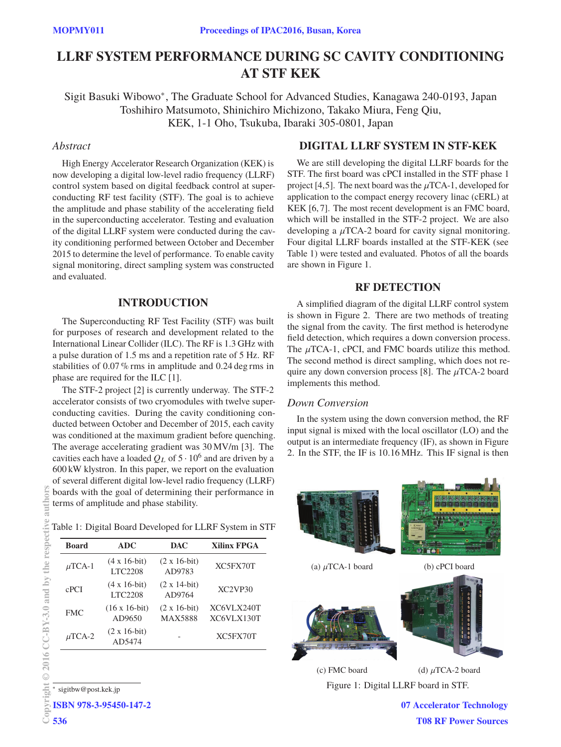# **LLRF SYSTEM PERFORMANCE DURING SC CAVITY CONDITIONING AT STF KEK**

Sigit Basuki Wibowo∗, The Graduate School for Advanced Studies, Kanagawa 240-0193, Japan Toshihiro Matsumoto, Shinichiro Michizono, Takako Miura, Feng Qiu, KEK, 1-1 Oho, Tsukuba, Ibaraki 305-0801, Japan

## Abstract

*Abstract* High Energy Accelerator Research Organization (KEK) is now developing a digital low-level radio frequency (LLRF) control system based on digital feedback control at superconducting RF test facility (STF). The goal is to achieve the amplitude and phase stability of the accelerating field in the superconducting accelerator. Testing and evaluation of the digital LLRF system were conducted during the cavity conditioning performed between October and December 2015 to determine the level of performance. To enable cavity signal monitoring, direct sampling system was constructed and evaluated.

### **INTRODUCTION**

The Superconducting RF Test Facility (STF) was built for purposes of research and development related to the International Linear Collider (ILC). The RF is 1.3 GHz with a pulse duration of 1.5 ms and a repetition rate of 5 Hz. RF stabilities of 0.07 % rms in amplitude and 0.24 deg rms in phase are required for the ILC [1].

The STF-2 project [2] is currently underway. The STF-2 accelerator consists of two cryomodules with twelve superconducting cavities. During the cavity conditioning conducted between October and December of 2015, each cavity was conditioned at the maximum gradient before quenching. The average accelerating gradient was 30 MV/m [3]. The cavities each have a loaded  $Q_L$  of  $5 \cdot 10^6$  and are driven by a 600 kW klystron. In this paper, we report on the evaluation of several different digital low-level radio frequency (LLRF) boards with the goal of determining their performance in terms of amplitude and phase stability.

Table 1: Digital Board Developed for LLRF System in STF

| <b>Board</b> | <b>ADC</b>                             | <b>DAC</b>                             | <b>Xilinx FPGA</b>               |
|--------------|----------------------------------------|----------------------------------------|----------------------------------|
| $\mu$ TCA-1  | $(4 \times 16$ -bit)<br><b>LTC2208</b> | $(2 \times 16$ -bit)<br>AD9783         | XC5FX70T                         |
| cPCI         | $(4 \times 16$ -bit)<br><b>LTC2208</b> | $(2 \times 14$ -bit)<br>AD9764         | XC <sub>2</sub> VP <sub>30</sub> |
| <b>FMC</b>   | $(16 \times 16$ -bit)<br>AD9650        | $(2 \times 16$ -bit)<br><b>MAX5888</b> | XC6VLX240T<br>XC6VLX130T         |
| $\mu$ TCA-2  | $(2 x 16-bit)$<br>AD5474               |                                        | XC5FX70T                         |

<sup>∗</sup> sigitbw@post.kek.jp

536

ISBN 978-3-95450-147-2

We are still developing the digital LLRF boards for the STF. The first board was cPCI installed in the STF phase 1 project [4,5]. The next board was the  $\mu$ TCA-1, developed for application to the compact energy recovery linac (cERL) at KEK [6, 7]. The most recent development is an FMC board, which will be installed in the STF-2 project. We are also developing a  $\mu$ TCA-2 board for cavity signal monitoring. Four digital LLRF boards installed at the STF-KEK (see Table 1) were tested and evaluated. Photos of all the boards are shown in Figure 1.

### **RF DETECTION**

A simplified diagram of the digital LLRF control system is shown in Figure 2. There are two methods of treating the signal from the cavity. The first method is heterodyne field detection, which requires a down conversion process. The  $\mu$ TCA-1, cPCI, and FMC boards utilize this method. The second method is direct sampling, which does not require any down conversion process [8]. The  $\mu$ TCA-2 board implements this method.

# Down Conversion

*Down Conversion* In the system using the down conversion method, the RF input signal is mixed with the local oscillator (LO) and the output is an intermediate frequency (IF), as shown in Figure 2. In the STF, the IF is 10.16 MHz. This IF signal is then



07 Accelerator Technology T08 RF Power Sources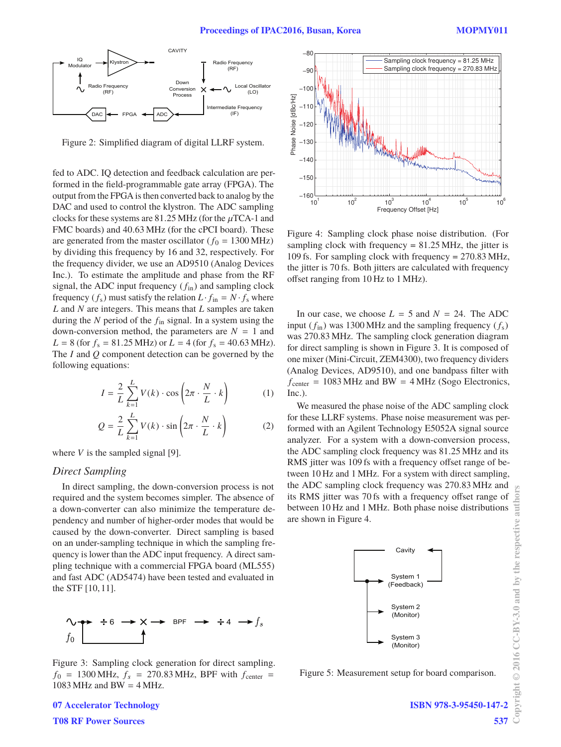

Figure 2: Simplified diagram of digital LLRF system.

fed to ADC. IQ detection and feedback calculation are performed in the field-programmable gate array (FPGA). The output from the FPGA is then converted back to analog by the DAC and used to control the klystron. The ADC sampling clocks for these systems are 81.25 MHz (for the  $\mu$ TCA-1 and FMC boards) and 40.63 MHz (for the cPCI board). These are generated from the master oscillator ( $f_0 = 1300 \text{ MHz}$ ) by dividing this frequency by 16 and 32, respectively. For the frequency divider, we use an AD9510 (Analog Devices Inc.). To estimate the amplitude and phase from the RF signal, the ADC input frequency  $(f_{in})$  and sampling clock frequency  $(f_s)$  must satisfy the relation  $L \cdot f_{\text{in}} = N \cdot f_s$  where *L* and *N* are integers. This means that *L* samples are taken during the *N* period of the *f*in signal. In a system using the down-conversion method, the parameters are  $N = 1$  and  $L = 8$  (for  $f_s = 81.25 \text{ MHz}$ ) or  $L = 4$  (for  $f_s = 40.63 \text{ MHz}$ ). The *I* and *Q* component detection can be governed by the following equations:

$$
I = \frac{2}{L} \sum_{k=1}^{L} V(k) \cdot \cos\left(2\pi \cdot \frac{N}{L} \cdot k\right) \tag{1}
$$

$$
Q = \frac{2}{L} \sum_{k=1}^{L} V(k) \cdot \sin\left(2\pi \cdot \frac{N}{L} \cdot k\right)
$$
 (2)

where  $V$  is the sampled signal [9].

*Direct Sampling* In direct sampling, the down-conversion process is not required and the system becomes simpler. The absence of a down-converter can also minimize the temperature dependency and number of higher-order modes that would be caused by the down-converter. Direct sampling is based on an under-sampling technique in which the sampling frequency is lower than the ADC input frequency. A direct sampling technique with a commercial FPGA board (ML555) and fast ADC (AD5474) have been tested and evaluated in the STF [10, 11].



Figure 3: Sampling clock generation for direct sampling.  $f_0$  = 1300 MHz,  $f_s$  = 270.83 MHz, BPF with  $f_{center}$  = 1083 MHz and BW =  $4$  MHz.



Figure 4: Sampling clock phase noise distribution. (For sampling clock with frequency  $= 81.25 \text{ MHz}$ , the jitter is 109 fs. For sampling clock with frequency = 270.83 MHz, the jitter is 70 fs. Both jitters are calculated with frequency offset ranging from 10 Hz to 1 MHz).

In our case, we choose  $L = 5$  and  $N = 24$ . The ADC input  $(f_{in})$  was 1300 MHz and the sampling frequency  $(f_s)$ was 270.83 MHz. The sampling clock generation diagram for direct sampling is shown in Figure 3. It is composed of one mixer (Mini-Circuit, ZEM4300), two frequency dividers (Analog Devices, AD9510), and one bandpass filter with  $f_{center} = 1083 \text{ MHz}$  and BW = 4 MHz (Sogo Electronics, Inc.).

We measured the phase noise of the ADC sampling clock for these LLRF systems. Phase noise measurement was performed with an Agilent Technology E5052A signal source analyzer. For a system with a down-conversion process, the ADC sampling clock frequency was 81.25 MHz and its RMS jitter was 109 fs with a frequency offset range of between 10 Hz and 1 MHz. For a system with direct sampling, the ADC sampling clock frequency was 270.83 MHz and its RMS jitter was 70 fs with a frequency offset range of between 10 Hz and 1 MHz. Both phase noise distributions are shown in Figure 4.



Figure 5: Measurement setup for board comparison.

07 Accelerator Technology T08 RF Power Sources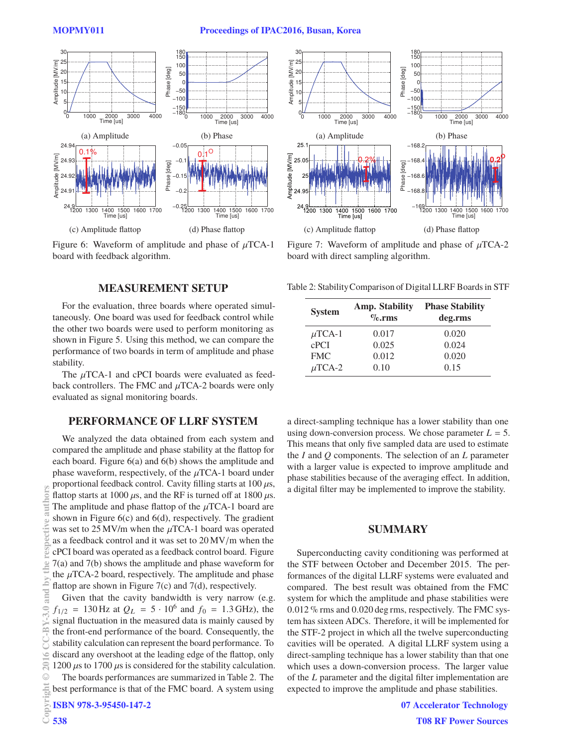

Figure 6: Waveform of amplitude and phase of  $\mu$ TCA-1 board with feedback algorithm.

### **MEASUREMENT SETUP**

For the evaluation, three boards where operated simultaneously. One board was used for feedback control while the other two boards were used to perform monitoring as shown in Figure 5. Using this method, we can compare the performance of two boards in term of amplitude and phase stability.

The  $\mu$ TCA-1 and cPCI boards were evaluated as feedback controllers. The FMC and  $\mu$ TCA-2 boards were only evaluated as signal monitoring boards.

## **PERFORMANCE OF LLRF SYSTEM**

We analyzed the data obtained from each system and compared the amplitude and phase stability at the flattop for each board. Figure 6(a) and 6(b) shows the amplitude and phase waveform, respectively, of the  $\mu$ TCA-1 board under proportional feedback control. Cavity filling starts at  $100 \,\mu s$ , flattop starts at 1000  $\mu$ s, and the RF is turned off at 1800  $\mu$ s. The amplitude and phase flattop of the  $\mu$ TCA-1 board are shown in Figure  $6(c)$  and  $6(d)$ , respectively. The gradient was set to  $25 \text{ MV/m}$  when the  $\mu$ TCA-1 board was operated as a feedback control and it was set to 20 MV/m when the cPCI board was operated as a feedback control board. Figure 7(a) and 7(b) shows the amplitude and phase waveform for the  $\mu$ TCA-2 board, respectively. The amplitude and phase flattop are shown in Figure 7(c) and 7(d), respectively.

Given that the cavity bandwidth is very narrow (e.g.  $f_{1/2}$  = 130 Hz at  $Q_L$  = 5 · 10<sup>6</sup> and  $f_0$  = 1.3 GHz), the signal fluctuation in the measured data is mainly caused by the front-end performance of the board. Consequently, the stability calculation can represent the board performance. To discard any overshoot at the leading edge of the flattop, only 1200  $\mu$ s to 1700  $\mu$ s is considered for the stability calculation. Copyright  $\odot$  2016 CC-BY-3.0 and by the respective authors

The boards performances are summarized in Table 2. The best performance is that of the FMC board. A system using

ISBN 978-3-95450-147-2

538

**OTS** auth

**Jhe** hv: and

 $\leq$  $\overline{20}$  $\odot$ 등



Figure 7: Waveform of amplitude and phase of  $\mu$ TCA-2 board with direct sampling algorithm.

Table 2: StabilityComparison of Digital LLRF Boardsin STF

| <b>System</b>    | <b>Amp. Stability</b><br>$\%$ .rms | <b>Phase Stability</b><br>deg.rms |
|------------------|------------------------------------|-----------------------------------|
| $\mu$ TCA-1      | 0.017                              | 0.020                             |
| c <sub>PCI</sub> | 0.025                              | 0.024                             |
| <b>FMC</b>       | 0.012                              | 0.020                             |
| $\mu$ TCA-2      | 0.10                               | 0.15                              |

a direct-sampling technique has a lower stability than one using down-conversion process. We chose parameter  $L = 5$ . This means that only five sampled data are used to estimate the *I* and *Q* components. The selection of an *L* parameter with a larger value is expected to improve amplitude and phase stabilities because of the averaging effect. In addition, a digital filter may be implemented to improve the stability.

### **SUMMARY**

Superconducting cavity conditioning was performed at the STF between October and December 2015. The performances of the digital LLRF systems were evaluated and compared. The best result was obtained from the FMC system for which the amplitude and phase stabilities were 0.012 % rms and 0.020 deg rms, respectively. The FMC system has sixteen ADCs. Therefore, it will be implemented for the STF-2 project in which all the twelve superconducting cavities will be operated. A digital LLRF system using a direct-sampling technique has a lower stability than that one which uses a down-conversion process. The larger value of the *L* parameter and the digital filter implementation are expected to improve the amplitude and phase stabilities.

> 07 Accelerator Technology T08 RF Power Sources